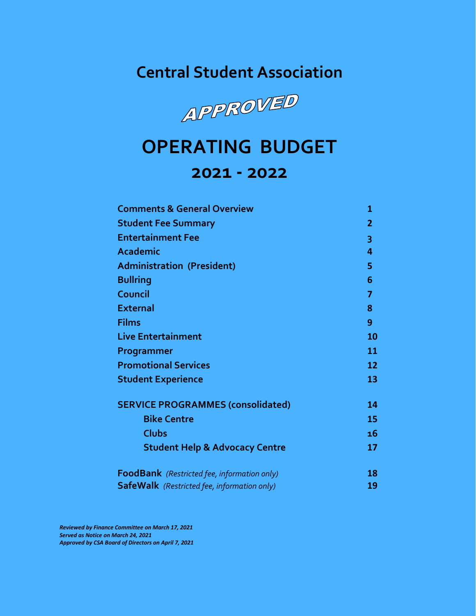**Central Student Association**



# **OPERATING BUDGET 2021 - 2022**

# **Comments & General Overview 1 Student Fee Summary 2 Entertainment Fee 3 Academic 4 Administration (President) 5 Bullring 6 Council 7 External 8 Films 9 Live Entertainment 10 Programmer 11 Promotional Services 12 Student Experience 13 SERVICE PROGRAMMES (consolidated) 14 Bike Centre 15 Clubs 16 Student Help & Advocacy Centre 17 FoodBank** *(Restricted fee, information only)* **18 SafeWalk** *(Restricted fee, information only)* **19**

*Reviewed by Finance Committee on March 17, 2021 Served as Notice on March 24, 2021 Approved by CSA Board of Directors on April 7, 2021*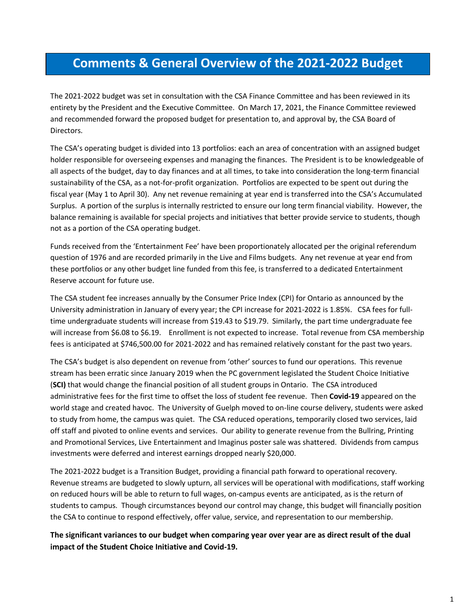# **Comments & General Overview of the 2021-2022 Budget**

The 2021-2022 budget was set in consultation with the CSA Finance Committee and has been reviewed in its entirety by the President and the Executive Committee. On March 17, 2021, the Finance Committee reviewed and recommended forward the proposed budget for presentation to, and approval by, the CSA Board of Directors.

The CSA's operating budget is divided into 13 portfolios: each an area of concentration with an assigned budget holder responsible for overseeing expenses and managing the finances. The President is to be knowledgeable of all aspects of the budget, day to day finances and at all times, to take into consideration the long-term financial sustainability of the CSA, as a not-for-profit organization. Portfolios are expected to be spent out during the fiscal year (May 1 to April 30). Any net revenue remaining at year end is transferred into the CSA's Accumulated Surplus. A portion of the surplus is internally restricted to ensure our long term financial viability. However, the balance remaining is available for special projects and initiatives that better provide service to students, though not as a portion of the CSA operating budget.

Funds received from the 'Entertainment Fee' have been proportionately allocated per the original referendum question of 1976 and are recorded primarily in the Live and Films budgets. Any net revenue at year end from these portfolios or any other budget line funded from this fee, is transferred to a dedicated Entertainment Reserve account for future use.

The CSA student fee increases annually by the Consumer Price Index (CPI) for Ontario as announced by the University administration in January of every year; the CPI increase for 2021-2022 is 1.85%. CSA fees for fulltime undergraduate students will increase from \$19.43 to \$19.79. Similarly, the part time undergraduate fee will increase from \$6.08 to \$6.19. Enrollment is not expected to increase. Total revenue from CSA membership fees is anticipated at \$746,500.00 for 2021-2022 and has remained relatively constant for the past two years.

The CSA's budget is also dependent on revenue from 'other' sources to fund our operations. This revenue stream has been erratic since January 2019 when the PC government legislated the Student Choice Initiative (**SCI)** that would change the financial position of all student groups in Ontario. The CSA introduced administrative fees for the first time to offset the loss of student fee revenue. Then **Covid-19** appeared on the world stage and created havoc. The University of Guelph moved to on-line course delivery, students were asked to study from home, the campus was quiet. The CSA reduced operations, temporarily closed two services, laid off staff and pivoted to online events and services. Our ability to generate revenue from the Bullring, Printing and Promotional Services, Live Entertainment and Imaginus poster sale was shattered. Dividends from campus investments were deferred and interest earnings dropped nearly \$20,000.

The 2021-2022 budget is a Transition Budget, providing a financial path forward to operational recovery. Revenue streams are budgeted to slowly upturn, all services will be operational with modifications, staff working on reduced hours will be able to return to full wages, on-campus events are anticipated, as is the return of students to campus. Though circumstances beyond our control may change, this budget will financially position the CSA to continue to respond effectively, offer value, service, and representation to our membership.

**The significant variances to our budget when comparing year over year are as direct result of the dual impact of the Student Choice Initiative and Covid-19.**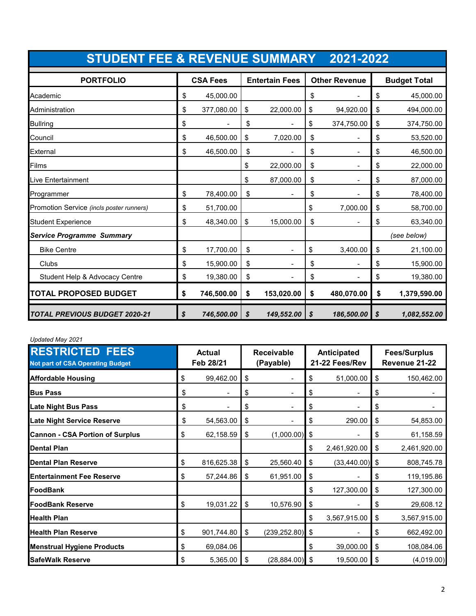| <b>STUDENT FEE &amp; REVENUE SUMMARY 2021-2022</b> |    |                 |                       |            |                      |                |                     |              |
|----------------------------------------------------|----|-----------------|-----------------------|------------|----------------------|----------------|---------------------|--------------|
| <b>PORTFOLIO</b>                                   |    | <b>CSA Fees</b> | <b>Entertain Fees</b> |            | <b>Other Revenue</b> |                | <b>Budget Total</b> |              |
| Academic                                           | \$ | 45,000.00       |                       |            | \$                   |                | \$                  | 45,000.00    |
| Administration                                     | \$ | 377,080.00      | \$                    | 22,000.00  | \$                   | 94,920.00      | \$                  | 494,000.00   |
| <b>Bullring</b>                                    | \$ |                 | \$                    |            | \$                   | 374,750.00     | \$                  | 374,750.00   |
| Council                                            | \$ | 46,500.00       | \$                    | 7,020.00   | \$                   |                | \$                  | 53,520.00    |
| External                                           | \$ | 46,500.00       | \$                    |            | \$                   |                | \$                  | 46,500.00    |
| Films                                              |    |                 | \$                    | 22,000.00  | \$                   | $\blacksquare$ | \$                  | 22,000.00    |
| Live Entertainment                                 |    |                 | \$                    | 87,000.00  | \$                   |                | \$                  | 87,000.00    |
| Programmer                                         | \$ | 78,400.00       | \$                    |            | \$                   |                | \$                  | 78,400.00    |
| Promotion Service (incls poster runners)           | \$ | 51,700.00       |                       |            | \$                   | 7,000.00       | \$                  | 58,700.00    |
| <b>Student Experience</b>                          | \$ | 48,340.00       | \$                    | 15,000.00  | \$                   |                | \$                  | 63,340.00    |
| <b>Service Programme Summary</b>                   |    |                 |                       |            |                      |                |                     | (see below)  |
| <b>Bike Centre</b>                                 | \$ | 17,700.00       | \$                    |            | \$                   | 3,400.00       | \$                  | 21,100.00    |
| Clubs                                              | \$ | 15,900.00       | \$                    |            | \$                   |                | \$                  | 15,900.00    |
| Student Help & Advocacy Centre                     | \$ | 19,380.00       | \$                    |            | \$                   |                | \$                  | 19,380.00    |
| <b>TOTAL PROPOSED BUDGET</b>                       | \$ | 746,500.00      | \$                    | 153,020.00 | \$                   | 480,070.00     | \$                  | 1,379,590.00 |
| <b>TOTAL PREVIOUS BUDGET 2020-21</b>               | \$ | 746,500.00      | \$                    | 149,552.00 | S                    | 186,500.00     | \$                  | 1,082,552.00 |

#### *Updated May 2021*

| <b>RESTRICTED FEES</b><br><b>Not part of CSA Operating Budget</b> | <b>Actual</b><br>Feb 28/21 |            | <b>Receivable</b><br>(Payable) |                    | Anticipated<br>21-22 Fees/Rev |              |    | <b>Fees/Surplus</b><br>Revenue 21-22 |  |
|-------------------------------------------------------------------|----------------------------|------------|--------------------------------|--------------------|-------------------------------|--------------|----|--------------------------------------|--|
| <b>Affordable Housing</b>                                         | \$                         | 99,462.00  | \$                             |                    | \$                            | 51,000.00    | \$ | 150,462.00                           |  |
| <b>Bus Pass</b>                                                   | \$                         |            | \$                             |                    | \$                            |              | \$ |                                      |  |
| <b>Late Night Bus Pass</b>                                        | \$                         |            | \$                             |                    | \$                            |              | \$ |                                      |  |
| <b>Late Night Service Reserve</b>                                 | \$                         | 54,563.00  | \$                             |                    | \$                            | 290.00       | \$ | 54,853.00                            |  |
| <b>Cannon - CSA Portion of Surplus</b>                            | \$                         | 62,158.59  | \$                             | (1,000.00)         | \$                            |              | \$ | 61,158.59                            |  |
| Dental Plan                                                       |                            |            |                                |                    | \$                            | 2,461,920.00 | \$ | 2,461,920.00                         |  |
| <b>Dental Plan Reserve</b>                                        | \$                         | 816,625.38 | \$                             | 25,560.40          | \$                            | (33, 440.00) | \$ | 808,745.78                           |  |
| <b>Entertainment Fee Reserve</b>                                  | \$                         | 57,244.86  | \$                             | 61,951.00          | \$                            |              | \$ | 119,195.86                           |  |
| FoodBank                                                          |                            |            |                                |                    | \$                            | 127,300.00   | \$ | 127,300.00                           |  |
| <b>IFoodBank Reserve</b>                                          | \$                         | 19,031.22  | \$                             | 10,576.90          | \$                            |              | \$ | 29,608.12                            |  |
| <b>Health Plan</b>                                                |                            |            |                                |                    | \$                            | 3,567,915.00 | \$ | 3,567,915.00                         |  |
| <b>Health Plan Reserve</b>                                        | \$                         | 901,744.80 | \$                             | $(239, 252.80)$ \$ |                               |              | \$ | 662,492.00                           |  |
| <b>Menstrual Hygiene Products</b>                                 | \$                         | 69,084.06  |                                |                    | \$                            | 39,000.00    | \$ | 108,084.06                           |  |
| <b>SafeWalk Reserve</b>                                           | \$                         | 5,365.00   | \$                             | $(28, 884.00)$ \$  |                               | 19,500.00    | \$ | (4,019.00)                           |  |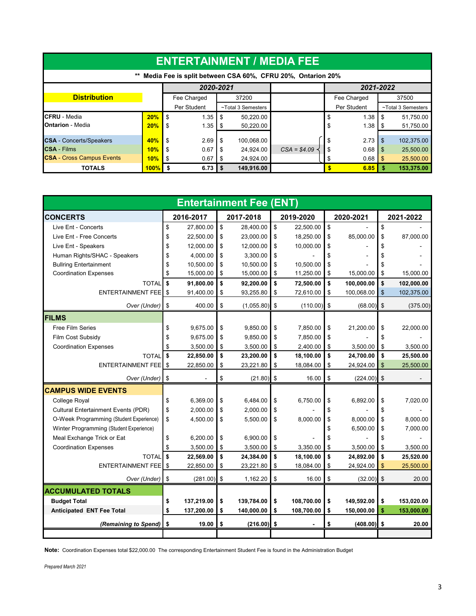| <b>ENTERTAINMENT / MEDIA FEE</b>                                                     |            |                      |                    |               |             |                    |  |  |  |  |
|--------------------------------------------------------------------------------------|------------|----------------------|--------------------|---------------|-------------|--------------------|--|--|--|--|
| Media Fee is split between CSA 60%, CFRU 20%, Ontarion 20%<br>2021-2022<br>2020-2021 |            |                      |                    |               |             |                    |  |  |  |  |
| <b>Distribution</b>                                                                  |            | Fee Charged          | 37200              |               | Fee Charged | 37500              |  |  |  |  |
|                                                                                      |            | Per Student          | ~Total 3 Semesters |               | Per Student | ~Total 3 Semesters |  |  |  |  |
| <b>CFRU</b> - Media                                                                  | 20%        | \$<br>1.35           | 50.220.00<br>-S    |               | 1.38        | 51,750.00<br>-\$   |  |  |  |  |
| <b>Ontarion - Media</b>                                                              | 20%        | \$<br>1.35           | 50,220.00          |               | 1.38        | 51,750.00          |  |  |  |  |
| <b>CSA</b> - Concerts/Speakers                                                       | <b>40%</b> | \$<br>2.69           | 100,068.00<br>-S   |               | 2.73<br>\$  | 102,375.00<br>\$   |  |  |  |  |
| <b>CSA</b> - Films                                                                   | 10%        | \$<br>0.67           | 24,924.00          | $CSA = $4.09$ | 0.68        | 25,500.00<br>l \$  |  |  |  |  |
| <b>CSA</b> - Cross Campus Events                                                     | 10%        | 0.67<br>\$           | 24,924.00<br>- 5   |               | 0.68        | 25,500.00<br>- \$  |  |  |  |  |
| <b>TOTALS</b>                                                                        | $100\%$ S  | $6.73$ $\frac{1}{3}$ | 149,916.00         |               | 6.85        | 153,375.00         |  |  |  |  |

|                                            |                  | <b>Entertainment Fee (ENT)</b> |                  |                  |                  |
|--------------------------------------------|------------------|--------------------------------|------------------|------------------|------------------|
| <b>CONCERTS</b>                            | 2016-2017        | 2017-2018                      | 2019-2020        | 2020-2021        | 2021-2022        |
| Live Ent - Concerts                        | \$<br>27.800.00  | \$<br>28.400.00                | \$<br>22,500.00  | \$               | \$               |
| Live Ent - Free Concerts                   | \$<br>22,500.00  | \$<br>23,000.00                | \$<br>18,250.00  | \$<br>85,000.00  | \$<br>87,000.00  |
| Live Ent - Speakers                        | \$<br>12,000.00  | \$<br>12,000.00                | \$<br>10,000.00  | \$               | \$               |
| Human Rights/SHAC - Speakers               | \$<br>4,000.00   | \$<br>3,300.00                 | \$               | \$               | \$               |
| <b>Bullring Entertainment</b>              | \$<br>10,500.00  | \$<br>10,500.00                | \$<br>10.500.00  | \$               | \$               |
| <b>Coordination Expenses</b>               | \$<br>15,000.00  | \$<br>15,000.00                | \$<br>11,250.00  | \$<br>15,000.00  | \$<br>15,000.00  |
| <b>TOTAL</b>                               | \$<br>91,800.00  | \$<br>92,200.00                | \$<br>72,500.00  | \$<br>100,000.00 | \$<br>102,000.00 |
| <b>ENTERTAINMENT FEE</b>                   | \$<br>91,400.00  | \$<br>93,255.80                | \$<br>72,610.00  | \$<br>100,068.00 | \$<br>102,375.00 |
| Over (Under)                               | \$<br>400.00     | \$<br>(1,055.80)               | \$<br>(110.00)   | \$<br>(68.00)    | \$<br>(375.00)   |
| <b>FILMS</b>                               |                  |                                |                  |                  |                  |
| <b>Free Film Series</b>                    | \$<br>9,675.00   | \$<br>9,850.00                 | \$<br>7.850.00   | \$<br>21,200.00  | \$<br>22,000.00  |
| Film Cost Subsidy                          | \$<br>9,675.00   | \$<br>9,850.00                 | \$<br>7,850.00   | \$               | \$               |
| <b>Coordination Expenses</b>               | \$<br>3,500.00   | \$<br>3,500.00                 | \$<br>2,400.00   | \$<br>3,500.00   | \$<br>3,500.00   |
| <b>TOTAL</b>                               | \$<br>22,850.00  | \$<br>23,200.00                | \$<br>18,100.00  | \$<br>24,700.00  | \$<br>25,500.00  |
| <b>ENTERTAINMENT FEE</b>                   | \$<br>22,850.00  | \$<br>23,221.80                | \$<br>18,084.00  | \$<br>24,924.00  | \$<br>25,500.00  |
| Over (Under)                               | \$               | \$<br>(21.80)                  | \$<br>16.00      | \$<br>(224.00)   | \$               |
| <b>CAMPUS WIDE EVENTS</b>                  |                  |                                |                  |                  |                  |
| College Royal                              | \$<br>6,369.00   | \$<br>6,484.00                 | \$<br>6,750.00   | \$<br>6,892.00   | \$<br>7,020.00   |
| <b>Cultural Entertainment Events (PDR)</b> | \$<br>2.000.00   | \$<br>2.000.00                 | \$               | \$               | \$               |
| O-Week Programming (Student Experience)    | \$<br>4,500.00   | \$<br>5,500.00                 | \$<br>8,000.00   | \$<br>8.000.00   | \$<br>8,000.00   |
| Winter Programming (Student Experience)    |                  |                                |                  | \$<br>6,500.00   | \$<br>7,000.00   |
| Meal Exchange Trick or Eat                 | \$<br>6,200.00   | \$<br>6,900.00                 | \$               | \$               | \$               |
| <b>Coordination Expenses</b>               | \$<br>3,500.00   | \$<br>3,500.00                 | \$<br>3,350.00   | \$<br>3,500.00   | \$<br>3,500.00   |
| <b>TOTAL</b>                               | \$<br>22,569.00  | \$<br>24,384.00                | \$<br>18,100.00  | \$<br>24,892.00  | \$<br>25,520.00  |
| <b>ENTERTAINMENT FEE</b>                   | \$<br>22,850.00  | \$<br>23,221.80                | \$<br>18,084.00  | \$<br>24,924.00  | \$<br>25,500.00  |
| Over (Under)                               | \$<br>(281.00)   | \$<br>1,162.20                 | \$<br>16.00      | \$<br>(32.00)    | \$<br>20.00      |
| <b>ACCUMULATED TOTALS</b>                  |                  |                                |                  |                  |                  |
| <b>Budget Total</b>                        | \$<br>137,219.00 | \$<br>139,784.00               | \$<br>108,700.00 | \$<br>149,592.00 | \$<br>153,020.00 |
| <b>Anticipated ENT Fee Total</b>           | \$<br>137,200.00 | \$<br>140,000.00               | \$<br>108,700.00 | \$<br>150,000.00 | \$<br>153,000.00 |
| (Remaining to Spend)                       | \$<br>19.00      | \$<br>(216.00)                 | \$               | \$<br>(408.00)   | \$<br>20.00      |
|                                            |                  |                                |                  |                  |                  |

**Note:** Coordination Expenses total \$22,000.00 The corresponding Entertainment Student Fee is found in the Administration Budget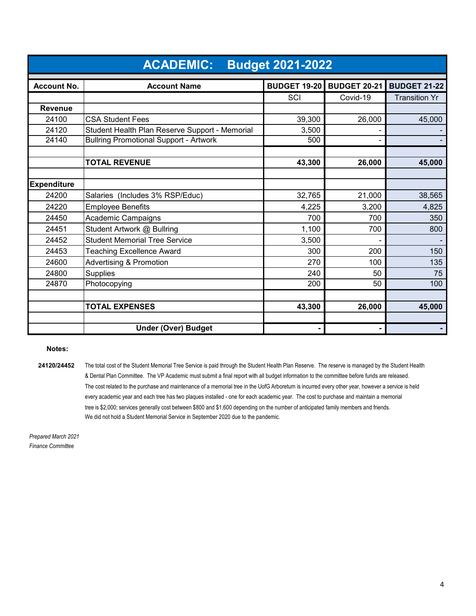|                    | <b>ACADEMIC:</b><br><b>Budget 2021-2022</b>    |                     |                     |                      |  |  |  |  |
|--------------------|------------------------------------------------|---------------------|---------------------|----------------------|--|--|--|--|
| <b>Account No.</b> | <b>Account Name</b>                            | <b>BUDGET 19-20</b> | <b>BUDGET 20-21</b> | <b>BUDGET 21-22</b>  |  |  |  |  |
|                    |                                                | SCI                 | Covid-19            | <b>Transition Yr</b> |  |  |  |  |
| <b>Revenue</b>     |                                                |                     |                     |                      |  |  |  |  |
| 24100              | <b>CSA Student Fees</b>                        | 39,300              | 26,000              | 45,000               |  |  |  |  |
| 24120              | Student Health Plan Reserve Support - Memorial | 3,500               |                     |                      |  |  |  |  |
| 24140              | <b>Bullring Promotional Support - Artwork</b>  | 500                 |                     |                      |  |  |  |  |
|                    | <b>TOTAL REVENUE</b>                           | 43,300              | 26,000              | 45,000               |  |  |  |  |
|                    |                                                |                     |                     |                      |  |  |  |  |
| <b>Expenditure</b> |                                                |                     |                     |                      |  |  |  |  |
| 24200              | Salaries (Includes 3% RSP/Educ)                | 32,765              | 21,000              | 38,565               |  |  |  |  |
| 24220              | <b>Employee Benefits</b>                       | 4,225               | 3,200               | 4,825                |  |  |  |  |
| 24450              | Academic Campaigns                             | 700                 | 700                 | 350                  |  |  |  |  |
| 24451              | Student Artwork @ Bullring                     | 1,100               | 700                 | 800                  |  |  |  |  |
| 24452              | <b>Student Memorial Tree Service</b>           | 3,500               |                     |                      |  |  |  |  |
| 24453              | <b>Teaching Excellence Award</b>               | 300                 | 200                 | 150                  |  |  |  |  |
| 24600              | <b>Advertising &amp; Promotion</b>             | 270                 | 100                 | 135                  |  |  |  |  |
| 24800              | <b>Supplies</b>                                | 240                 | 50                  | 75                   |  |  |  |  |
| 24870              | Photocopying                                   | 200                 | 50                  | 100                  |  |  |  |  |
|                    |                                                |                     |                     |                      |  |  |  |  |
|                    | <b>TOTAL EXPENSES</b>                          | 43,300              | 26,000              | 45,000               |  |  |  |  |
|                    | <b>Under (Over) Budget</b>                     |                     |                     |                      |  |  |  |  |

#### **Notes:**

24120/24452 The total cost of the Student Memorial Tree Service is paid through the Student Health Plan Reserve. The reserve is managed by the Student Health & Dental Plan Committee. The VP Academic must submit a final report with all budget information to the committee before funds are released. The cost related to the purchase and maintenance of a memorial tree in the UofG Arboretum is incurred every other year, however a service is held every academic year and each tree has two plaques installed - one for each academic year. The cost to purchase and maintain a memorial tree is \$2,000; services generally cost between \$800 and \$1,600 depending on the number of anticipated family members and friends. We did not hold a Student Memorial Service in September 2020 due to the pandemic.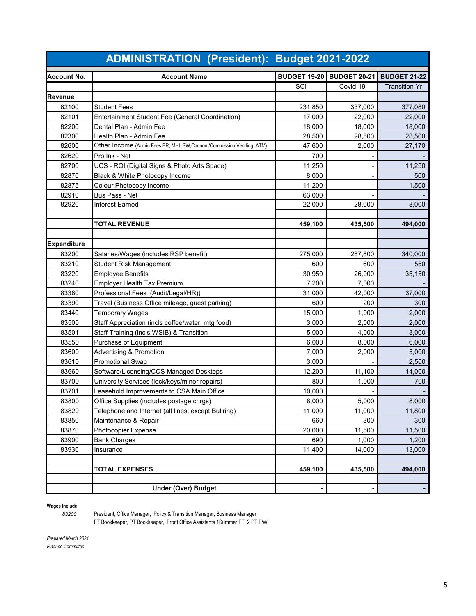|                    | <b>ADMINISTRATION (President): Budget 2021-2022</b>                      |                                  |          |                      |
|--------------------|--------------------------------------------------------------------------|----------------------------------|----------|----------------------|
| <b>Account No.</b> | <b>Account Name</b>                                                      | <b>BUDGET 19-20 BUDGET 20-21</b> |          | <b>BUDGET 21-22</b>  |
|                    |                                                                          | SCI                              | Covid-19 | <b>Transition Yr</b> |
| Revenue            |                                                                          |                                  |          |                      |
| 82100              | <b>Student Fees</b>                                                      | 231,850                          | 337,000  | 377,080              |
| 82101              | Entertainment Student Fee (General Coordination)                         | 17,000                           | 22,000   | 22,000               |
| 82200              | Dental Plan - Admin Fee                                                  | 18,000                           | 18,000   | 18,000               |
| 82300              | Health Plan - Admin Fee                                                  | 28,500                           | 28,500   | 28,500               |
| 82600              | Other Income (Admin Fees BR, MHI, SW, Cannon, / Commission Vending, ATM) | 47,600                           | 2,000    | 27,170               |
| 82620              | Pro Ink - Net                                                            | 700                              |          |                      |
| 82700              | UCS - ROI (Digital Signs & Photo Arts Space)                             | 11,250                           |          | 11,250               |
| 82870              | Black & White Photocopy Income                                           | 8,000                            |          | 500                  |
| 82875              | Colour Photocopy Income                                                  | 11,200                           |          | 1,500                |
| 82910              | Bus Pass - Net                                                           | 63,000                           |          |                      |
| 82920              | <b>Interest Earned</b>                                                   | 22,000                           | 28,000   | 8,000                |
|                    |                                                                          |                                  |          |                      |
|                    | <b>TOTAL REVENUE</b>                                                     | 459,100                          | 435,500  | 494,000              |
|                    |                                                                          |                                  |          |                      |
| <b>Expenditure</b> |                                                                          |                                  |          |                      |
| 83200              | Salaries/Wages (includes RSP benefit)                                    | 275,000                          | 287,800  | 340,000              |
| 83210              | <b>Student Risk Management</b>                                           | 600                              | 600      | 550                  |
| 83220              | <b>Employee Benefits</b>                                                 | 30,950                           | 26,000   | 35,150               |
| 83240              | <b>Employer Health Tax Premium</b>                                       | 7,200                            | 7,000    |                      |
| 83380              | Professional Fees (Audit/Legal/HR))                                      | 31,000                           | 42,000   | 37,000               |
| 83390              | Travel (Business Office mileage, guest parking)                          | 600                              | 200      | 300                  |
| 83440              | <b>Temporary Wages</b>                                                   | 15,000                           | 1,000    | 2,000                |
| 83500              | Staff Appreciation (incls coffee/water, mtg food)                        | 3,000                            | 2,000    | 2,000                |
| 83501              | Staff Training (incls WSIB) & Transition                                 | 5,000                            | 4,000    | 3,000                |
| 83550              | Purchase of Equipment                                                    | 6,000                            | 8,000    | 6,000                |
| 83600              | <b>Advertising &amp; Promotion</b>                                       | 7,000                            | 2,000    | 5.000                |
| 83610              | <b>Promotional Swag</b>                                                  | 3,000                            |          | 2,500                |
| 83660              | Software/Licensing/CCS Managed Desktops                                  | 12,200                           | 11,100   | 14,000               |
| 83700              | University Services (lock/keys/minor repairs)                            | 800                              | 1,000    | 700                  |
| 83701              | Leasehold Improvements to CSA Main Office                                | 10,000                           |          |                      |
| 83800              | Office Supplies (includes postage chrgs)                                 | 8,000                            | 5,000    | 8,000                |
| 83820              | Telephone and Internet (all lines, except Bullring)                      | 11,000                           | 11,000   | 11,800               |
| 83850              | Maintenance & Repair                                                     | 660                              | 300      | 300                  |
| 83870              | Photocopier Expense                                                      | 20,000                           | 11,500   | 11,500               |
| 83900              | <b>Bank Charges</b>                                                      | 690                              | 1,000    | 1,200                |
| 83930              | Insurance                                                                | 11,400                           | 14,000   | 13,000               |
|                    |                                                                          |                                  |          |                      |
|                    | <b>TOTAL EXPENSES</b>                                                    | 459,100                          | 435,500  | 494,000              |
|                    | <b>Under (Over) Budget</b>                                               |                                  |          |                      |
|                    |                                                                          |                                  |          |                      |

Wages Include<br>83200

 President, Office Manager, Policy & Transition Manager, Business Manager FT Bookkeeper, PT Bookkeeper, Front Office Assistants 1Summer FT, 2 PT F/W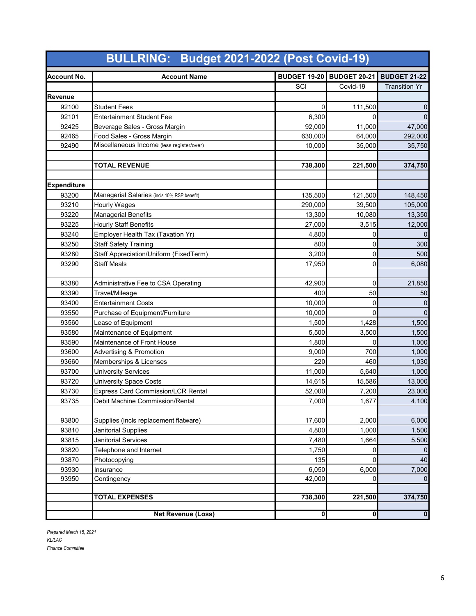|                    | <b>BULLRING: Budget 2021-2022 (Post Covid-19)</b> |                         |                         |                      |
|--------------------|---------------------------------------------------|-------------------------|-------------------------|----------------------|
| <b>Account No.</b> | <b>Account Name</b>                               | <b>BUDGET 19-20</b>     | <b>BUDGET 20-21</b>     | <b>BUDGET 21-22</b>  |
|                    |                                                   | SCI                     | Covid-19                | <b>Transition Yr</b> |
| Revenue            |                                                   |                         |                         |                      |
| 92100              | <b>Student Fees</b>                               | 0                       | 111,500                 | 0                    |
| 92101              | <b>Entertainment Student Fee</b>                  | 6,300                   | 0                       | $\pmb{0}$            |
| 92425              | Beverage Sales - Gross Margin                     | 92,000                  | 11,000                  | 47,000               |
| 92465              | Food Sales - Gross Margin                         | 630,000                 | 64,000                  | 292,000              |
| 92490              | Miscellaneous Income (less register/over)         | 10,000                  | 35,000                  | 35,750               |
|                    |                                                   |                         |                         |                      |
|                    | <b>TOTAL REVENUE</b>                              | 738,300                 | 221,500                 | 374,750              |
|                    |                                                   |                         |                         |                      |
| <b>Expenditure</b> |                                                   |                         |                         |                      |
| 93200              | Managerial Salaries (incls 10% RSP benefit)       | 135,500                 | 121,500                 | 148,450              |
| 93210              | <b>Hourly Wages</b>                               | 290,000                 | 39,500                  | 105,000              |
| 93220              | <b>Managerial Benefits</b>                        | 13,300                  | 10,080                  | 13,350               |
| 93225              | <b>Hourly Staff Benefits</b>                      | 27,000                  | 3,515                   | 12,000               |
| 93240              | Employer Health Tax (Taxation Yr)                 | 4,800                   | 0                       | $\overline{0}$       |
| 93250              | <b>Staff Safety Training</b>                      | 800                     | 0                       | 300                  |
| 93280              | Staff Appreciation/Uniform (FixedTerm)            | 3,200                   | 0                       | 500                  |
| 93290              | <b>Staff Meals</b>                                | 17,950                  | 0                       | 6,080                |
|                    |                                                   |                         |                         |                      |
| 93380              | Administrative Fee to CSA Operating               | 42,900                  | 0                       | 21,850               |
| 93390              | Travel/Mileage                                    | 400                     | 50                      | 50                   |
| 93400              | <b>Entertainment Costs</b>                        | 10,000                  | 0                       | 0                    |
| 93550              | Purchase of Equipment/Furniture                   | 10,000                  | 0                       | $\mathbf 0$          |
| 93560              | Lease of Equipment                                | 1,500                   | 1,428                   | 1,500                |
| 93580              | Maintenance of Equipment                          | 5,500                   | 3,500                   | 1,500                |
| 93590              | Maintenance of Front House                        | 1,800                   | 0                       | 1,000                |
| 93600              | <b>Advertising &amp; Promotion</b>                | 9,000                   | 700                     | 1,000                |
| 93660              | Memberships & Licenses                            | 220                     | 460                     | 1,030                |
| 93700              | <b>University Services</b>                        | 11,000                  | 5,640                   | 1,000                |
| 93720              | <b>University Space Costs</b>                     | 14,615                  | 15,586                  | 13,000               |
| 93730              | <b>Express Card Commission/LCR Rental</b>         | 52,000                  | 7,200                   | 23,000               |
| 93735              | Debit Machine Commission/Rental                   | 7,000                   | 1,677                   | 4,100                |
|                    |                                                   |                         |                         |                      |
| 93800              | Supplies (incls replacement flatware)             | 17,600                  | 2,000                   | 6,000                |
| 93810              | Janitorial Supplies                               | 4,800                   | 1,000                   | 1,500                |
| 93815              | Janitorial Services                               | 7,480                   | 1,664                   | 5,500                |
| 93820              | Telephone and Internet                            | 1,750                   | 0                       | $\overline{0}$       |
| 93870              | Photocopying                                      | 135                     | 0                       | 40                   |
| 93930              | Insurance                                         | 6,050                   | 6,000                   | 7,000                |
| 93950              | Contingency                                       | 42,000                  | 0                       | $\overline{0}$       |
|                    |                                                   |                         |                         |                      |
|                    | <b>TOTAL EXPENSES</b>                             | 738,300                 | 221,500                 | 374,750              |
|                    | <b>Net Revenue (Loss)</b>                         | $\overline{\mathbf{0}}$ | $\overline{\mathbf{0}}$ | $\bullet$            |

*Prepared March 15, 2021 KL/LAC Finance Committee*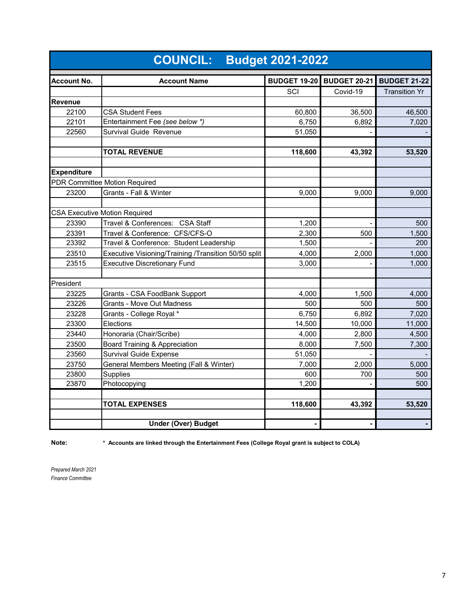|                    | <b>COUNCIL: Budget 2021-2022</b>                     |                     |                     |                      |
|--------------------|------------------------------------------------------|---------------------|---------------------|----------------------|
| Account No.        | <b>Account Name</b>                                  | <b>BUDGET 19-20</b> | <b>BUDGET 20-21</b> | <b>BUDGET 21-22</b>  |
|                    |                                                      | SCI                 | Covid-19            | <b>Transition Yr</b> |
| <b>Revenue</b>     |                                                      |                     |                     |                      |
| 22100              | <b>CSA Student Fees</b>                              | 60,800              | 36,500              | 46,500               |
| 22101              | Entertainment Fee (see below *)                      | 6,750               | 6,892               | 7,020                |
| 22560              | Survival Guide Revenue                               | 51,050              |                     |                      |
|                    |                                                      |                     |                     |                      |
|                    | <b>TOTAL REVENUE</b>                                 | 118,600             | 43,392              | 53,520               |
|                    |                                                      |                     |                     |                      |
| <b>Expenditure</b> |                                                      |                     |                     |                      |
|                    | PDR Committee Motion Required                        |                     |                     |                      |
| 23200              | Grants - Fall & Winter                               | 9,000               | 9.000               | 9,000                |
|                    | <b>CSA Executive Motion Required</b>                 |                     |                     |                      |
| 23390              | Travel & Conferences: CSA Staff                      | 1,200               |                     | 500                  |
| 23391              | Travel & Conference: CFS/CFS-O                       | 2,300               | 500                 | 1,500                |
| 23392              | Travel & Conference: Student Leadership              | 1,500               |                     | 200                  |
| 23510              | Executive Visioning/Training /Transition 50/50 split | 4,000               | 2,000               | 1,000                |
| 23515              | <b>Executive Discretionary Fund</b>                  | 3,000               |                     | 1,000                |
|                    |                                                      |                     |                     |                      |
| President          |                                                      |                     |                     |                      |
| 23225              | Grants - CSA FoodBank Support                        | 4,000               | 1,500               | 4,000                |
| 23226              | <b>Grants - Move Out Madness</b>                     | 500                 | 500                 | 500                  |
| 23228              | Grants - College Royal *                             | 6,750               | 6,892               | 7,020                |
| 23300              | Elections                                            | 14,500              | 10,000              | 11,000               |
| 23440              | Honoraria (Chair/Scribe)                             | 4,000               | 2,800               | 4,500                |
| 23500              | Board Training & Appreciation                        | 8,000               | 7,500               | 7,300                |
| 23560              | <b>Survival Guide Expense</b>                        | 51,050              |                     |                      |
| 23750              | General Members Meeting (Fall & Winter)              | 7,000               | 2,000               | 5,000                |
| 23800              | <b>Supplies</b>                                      | 600                 | 700                 | 500                  |
| 23870              | Photocopying                                         | 1,200               |                     | 500                  |
|                    |                                                      |                     |                     |                      |
|                    | <b>TOTAL EXPENSES</b>                                | 118,600             | 43,392              | 53,520               |
|                    | <b>Under (Over) Budget</b>                           | ٠                   | $\blacksquare$      |                      |

**Note: \* Accounts are linked through the Entertainment Fees (College Royal grant is subject to COLA)**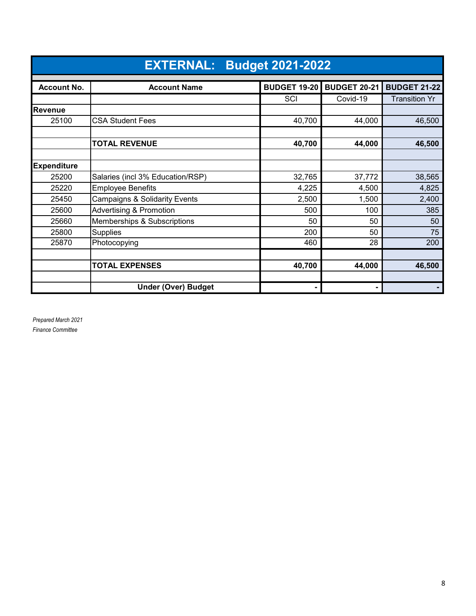|                    | <b>EXTERNAL: Budget 2021-2022</b>        |                     |                     |                      |  |  |  |  |  |
|--------------------|------------------------------------------|---------------------|---------------------|----------------------|--|--|--|--|--|
| <b>Account No.</b> | <b>Account Name</b>                      | <b>BUDGET 19-20</b> | <b>BUDGET 20-21</b> | <b>BUDGET 21-22</b>  |  |  |  |  |  |
|                    |                                          | SCI                 | Covid-19            | <b>Transition Yr</b> |  |  |  |  |  |
| Revenue            |                                          |                     |                     |                      |  |  |  |  |  |
| 25100              | <b>CSA Student Fees</b>                  | 40,700              | 44,000              | 46,500               |  |  |  |  |  |
|                    |                                          |                     |                     |                      |  |  |  |  |  |
|                    | <b>TOTAL REVENUE</b>                     | 40,700              | 44,000              | 46,500               |  |  |  |  |  |
|                    |                                          |                     |                     |                      |  |  |  |  |  |
| <b>Expenditure</b> |                                          |                     |                     |                      |  |  |  |  |  |
| 25200              | Salaries (incl 3% Education/RSP)         | 32,765              | 37,772              | 38,565               |  |  |  |  |  |
| 25220              | <b>Employee Benefits</b>                 | 4,225               | 4,500               | 4,825                |  |  |  |  |  |
| 25450              | <b>Campaigns &amp; Solidarity Events</b> | 2,500               | 1,500               | 2,400                |  |  |  |  |  |
| 25600              | <b>Advertising &amp; Promotion</b>       | 500                 | 100                 | 385                  |  |  |  |  |  |
| 25660              | Memberships & Subscriptions              | 50                  | 50                  | 50                   |  |  |  |  |  |
| 25800              | <b>Supplies</b>                          | 200                 | 50                  | 75                   |  |  |  |  |  |
| 25870              | Photocopying                             | 460                 | 28                  | 200                  |  |  |  |  |  |
|                    |                                          |                     |                     |                      |  |  |  |  |  |
|                    | <b>TOTAL EXPENSES</b>                    | 40,700              | 44,000              | 46,500               |  |  |  |  |  |
|                    |                                          |                     |                     |                      |  |  |  |  |  |
|                    | <b>Under (Over) Budget</b>               |                     |                     |                      |  |  |  |  |  |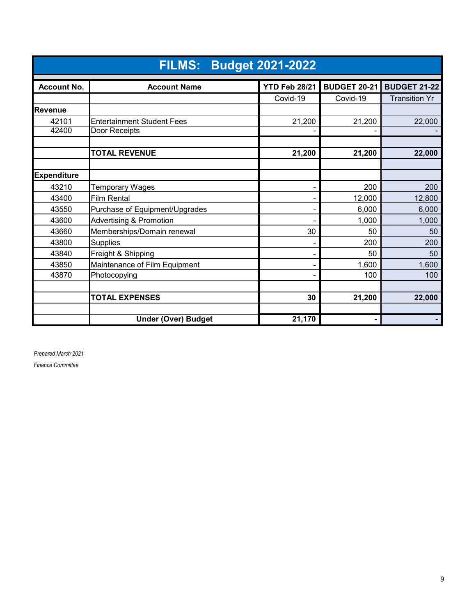|                    | <b>FILMS: Budget 2021-2022</b>     |                      |                     |                      |  |  |  |  |
|--------------------|------------------------------------|----------------------|---------------------|----------------------|--|--|--|--|
| <b>Account No.</b> | <b>Account Name</b>                | <b>YTD Feb 28/21</b> | <b>BUDGET 20-21</b> | <b>BUDGET 21-22</b>  |  |  |  |  |
|                    |                                    | Covid-19             | Covid-19            | <b>Transition Yr</b> |  |  |  |  |
| Revenue            |                                    |                      |                     |                      |  |  |  |  |
| 42101              | <b>Entertainment Student Fees</b>  | 21,200               | 21,200              | 22,000               |  |  |  |  |
| 42400              | Door Receipts                      |                      |                     |                      |  |  |  |  |
|                    |                                    |                      |                     |                      |  |  |  |  |
|                    | <b>TOTAL REVENUE</b>               | 21,200               | 21,200              | 22,000               |  |  |  |  |
|                    |                                    |                      |                     |                      |  |  |  |  |
| <b>Expenditure</b> |                                    |                      |                     |                      |  |  |  |  |
| 43210              | <b>Temporary Wages</b>             | ۰                    | 200                 | 200                  |  |  |  |  |
| 43400              | <b>Film Rental</b>                 |                      | 12,000              | 12,800               |  |  |  |  |
| 43550              | Purchase of Equipment/Upgrades     |                      | 6,000               | 6,000                |  |  |  |  |
| 43600              | <b>Advertising &amp; Promotion</b> |                      | 1,000               | 1,000                |  |  |  |  |
| 43660              | Memberships/Domain renewal         | 30                   | 50                  | 50                   |  |  |  |  |
| 43800              | Supplies                           |                      | 200                 | 200                  |  |  |  |  |
| 43840              | Freight & Shipping                 |                      | 50                  | 50                   |  |  |  |  |
| 43850              | Maintenance of Film Equipment      | -                    | 1,600               | 1,600                |  |  |  |  |
| 43870              | Photocopying                       | -                    | 100                 | 100                  |  |  |  |  |
|                    |                                    |                      |                     |                      |  |  |  |  |
|                    | <b>TOTAL EXPENSES</b>              | 30                   | 21,200              | 22,000               |  |  |  |  |
|                    |                                    |                      |                     |                      |  |  |  |  |
|                    | <b>Under (Over) Budget</b>         | 21,170               |                     |                      |  |  |  |  |

*Prepared March 2021*

*Finance Committee*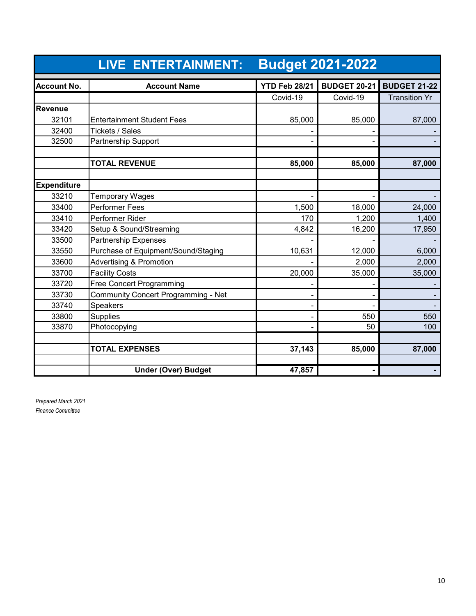|                    | <b>LIVE ENTERTAINMENT:</b>          |                      | <b>Budget 2021-2022</b> |                      |
|--------------------|-------------------------------------|----------------------|-------------------------|----------------------|
| <b>Account No.</b> | <b>Account Name</b>                 | <b>YTD Feb 28/21</b> | <b>BUDGET 20-21</b>     | <b>BUDGET 21-22</b>  |
|                    |                                     | Covid-19             | Covid-19                | <b>Transition Yr</b> |
| Revenue            |                                     |                      |                         |                      |
| 32101              | <b>Entertainment Student Fees</b>   | 85,000               | 85,000                  | 87,000               |
| 32400              | Tickets / Sales                     |                      |                         |                      |
| 32500              | Partnership Support                 |                      |                         |                      |
|                    | <b>TOTAL REVENUE</b>                | 85,000               | 85,000                  | 87,000               |
| <b>Expenditure</b> |                                     |                      |                         |                      |
| 33210              | Temporary Wages                     |                      |                         |                      |
| 33400              | <b>Performer Fees</b>               | 1,500                | 18,000                  | 24,000               |
| 33410              | Performer Rider                     | 170                  | 1,200                   | 1,400                |
| 33420              | Setup & Sound/Streaming             | 4,842                | 16,200                  | 17,950               |
| 33500              | <b>Partnership Expenses</b>         |                      |                         |                      |
| 33550              | Purchase of Equipment/Sound/Staging | 10,631               | 12,000                  | 6,000                |
| 33600              | <b>Advertising &amp; Promotion</b>  |                      | 2,000                   | 2,000                |
| 33700              | <b>Facility Costs</b>               | 20,000               | 35,000                  | 35,000               |
| 33720              | <b>Free Concert Programming</b>     |                      |                         |                      |
| 33730              | Community Concert Programming - Net |                      |                         |                      |
| 33740              | <b>Speakers</b>                     |                      |                         |                      |
| 33800              | Supplies                            |                      | 550                     | 550                  |
| 33870              | Photocopying                        |                      | 50                      | 100                  |
|                    | <b>TOTAL EXPENSES</b>               | 37,143               | 85,000                  | 87,000               |
|                    | <b>Under (Over) Budget</b>          | 47,857               |                         |                      |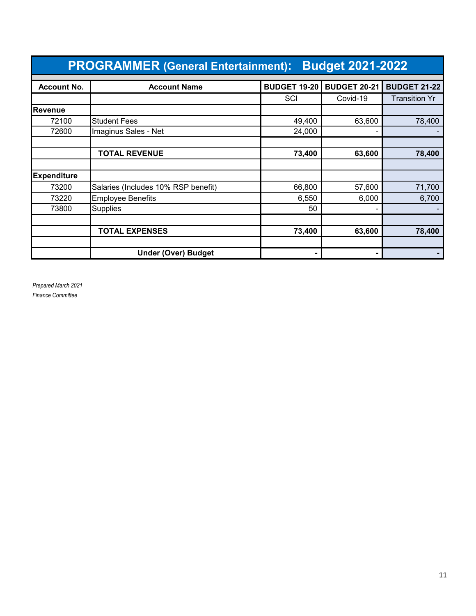|                    | <b>PROGRAMMER (General Entertainment):</b><br><b>Budget 2021-2022</b> |                     |          |                      |  |  |  |  |
|--------------------|-----------------------------------------------------------------------|---------------------|----------|----------------------|--|--|--|--|
| <b>Account No.</b> | <b>BUDGET 20-21</b>                                                   | <b>BUDGET 21-22</b> |          |                      |  |  |  |  |
|                    |                                                                       | SCI                 | Covid-19 | <b>Transition Yr</b> |  |  |  |  |
| Revenue            |                                                                       |                     |          |                      |  |  |  |  |
| 72100              | <b>Student Fees</b>                                                   | 49,400              | 63,600   | 78,400               |  |  |  |  |
| 72600              | Imaginus Sales - Net                                                  | 24,000              |          |                      |  |  |  |  |
|                    |                                                                       |                     |          |                      |  |  |  |  |
|                    | <b>TOTAL REVENUE</b>                                                  | 73,400              | 63,600   | 78,400               |  |  |  |  |
|                    |                                                                       |                     |          |                      |  |  |  |  |
| <b>Expenditure</b> |                                                                       |                     |          |                      |  |  |  |  |
| 73200              | Salaries (Includes 10% RSP benefit)                                   | 66,800              | 57,600   | 71,700               |  |  |  |  |
| 73220              | <b>Employee Benefits</b>                                              | 6,550               | 6,000    | 6,700                |  |  |  |  |
| 73800              | <b>Supplies</b>                                                       | 50                  |          |                      |  |  |  |  |
|                    |                                                                       |                     |          |                      |  |  |  |  |
|                    | <b>TOTAL EXPENSES</b>                                                 | 73,400              | 63,600   | 78,400               |  |  |  |  |
|                    |                                                                       |                     |          |                      |  |  |  |  |
|                    | <b>Under (Over) Budget</b>                                            |                     |          |                      |  |  |  |  |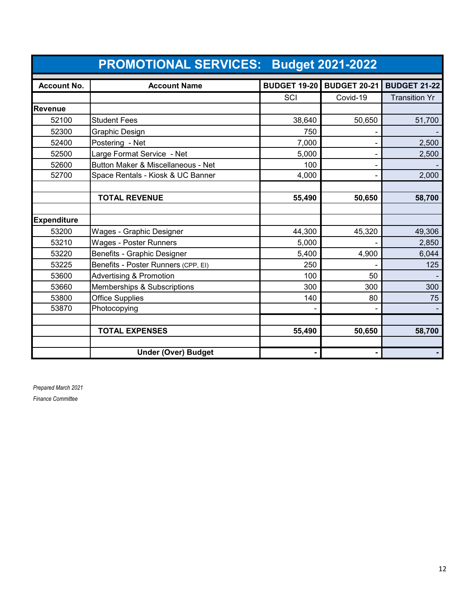|                    | <b>PROMOTIONAL SERVICES: Budget 2021-2022</b> |        |                                  |                      |
|--------------------|-----------------------------------------------|--------|----------------------------------|----------------------|
| <b>Account No.</b> | <b>Account Name</b>                           |        | <b>BUDGET 19-20 BUDGET 20-21</b> | <b>BUDGET 21-22</b>  |
|                    |                                               | SCI    | Covid-19                         | <b>Transition Yr</b> |
| Revenue            |                                               |        |                                  |                      |
| 52100              | <b>Student Fees</b>                           | 38,640 | 50,650                           | 51,700               |
| 52300              | Graphic Design                                | 750    |                                  |                      |
| 52400              | Postering - Net                               | 7,000  |                                  | 2,500                |
| 52500              | Large Format Service - Net                    | 5,000  |                                  | 2,500                |
| 52600              | Button Maker & Miscellaneous - Net            | 100    |                                  |                      |
| 52700              | Space Rentals - Kiosk & UC Banner             | 4,000  |                                  | 2,000                |
|                    |                                               |        |                                  |                      |
|                    | <b>TOTAL REVENUE</b>                          | 55,490 | 50,650                           | 58,700               |
|                    |                                               |        |                                  |                      |
| <b>Expenditure</b> |                                               |        |                                  |                      |
| 53200              | Wages - Graphic Designer                      | 44,300 | 45,320                           | 49,306               |
| 53210              | <b>Wages - Poster Runners</b>                 | 5,000  |                                  | 2,850                |
| 53220              | Benefits - Graphic Designer                   | 5,400  | 4,900                            | 6,044                |
| 53225              | Benefits - Poster Runners (CPP, EI)           | 250    |                                  | 125                  |
| 53600              | <b>Advertising &amp; Promotion</b>            | 100    | 50                               |                      |
| 53660              | Memberships & Subscriptions                   | 300    | 300                              | 300                  |
| 53800              | <b>Office Supplies</b>                        | 140    | 80                               | 75                   |
| 53870              | Photocopying                                  |        |                                  |                      |
|                    |                                               |        |                                  |                      |
|                    | <b>TOTAL EXPENSES</b>                         | 55,490 | 50,650                           | 58,700               |
|                    |                                               |        |                                  |                      |
|                    | <b>Under (Over) Budget</b>                    |        |                                  |                      |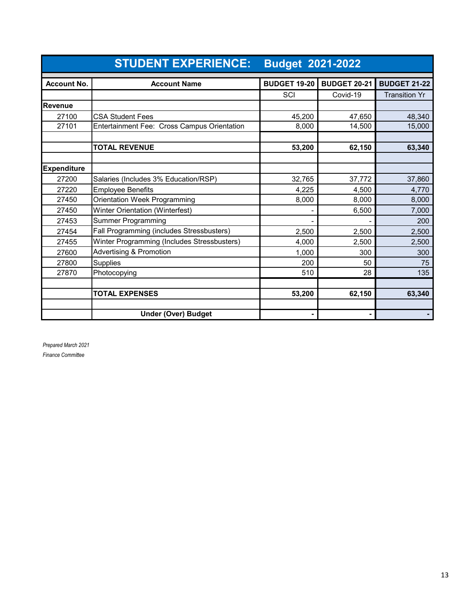|                    | <b>STUDENT EXPERIENCE:</b><br><b>Budget 2021-2022</b> |                     |                     |                      |
|--------------------|-------------------------------------------------------|---------------------|---------------------|----------------------|
| <b>Account No.</b> | <b>Account Name</b>                                   | <b>BUDGET 19-20</b> | <b>BUDGET 20-21</b> | <b>BUDGET 21-22</b>  |
|                    |                                                       | SCI                 | Covid-19            | <b>Transition Yr</b> |
| <b>Revenue</b>     |                                                       |                     |                     |                      |
| 27100              | <b>CSA Student Fees</b>                               | 45,200              | 47,650              | 48.340               |
| 27101              | Entertainment Fee: Cross Campus Orientation           | 8,000               | 14,500              | 15,000               |
|                    |                                                       |                     |                     |                      |
|                    | <b>TOTAL REVENUE</b>                                  | 53,200              | 62,150              | 63,340               |
|                    |                                                       |                     |                     |                      |
| <b>Expenditure</b> |                                                       |                     |                     |                      |
| 27200              | Salaries (Includes 3% Education/RSP)                  | 32,765              | 37,772              | 37,860               |
| 27220              | <b>Employee Benefits</b>                              | 4,225               | 4,500               | 4,770                |
| 27450              | Orientation Week Programming                          | 8,000               | 8,000               | 8,000                |
| 27450              | Winter Orientation (Winterfest)                       |                     | 6,500               | 7,000                |
| 27453              | <b>Summer Programming</b>                             |                     |                     | 200                  |
| 27454              | Fall Programming (includes Stressbusters)             | 2,500               | 2,500               | 2,500                |
| 27455              | Winter Programming (Includes Stressbusters)           | 4,000               | 2,500               | 2,500                |
| 27600              | <b>Advertising &amp; Promotion</b>                    | 1,000               | 300                 | 300                  |
| 27800              | Supplies                                              | 200                 | 50                  | 75                   |
| 27870              | Photocopying                                          | 510                 | 28                  | 135                  |
|                    |                                                       |                     |                     |                      |
|                    | <b>TOTAL EXPENSES</b>                                 | 53,200              | 62,150              | 63,340               |
|                    |                                                       |                     |                     |                      |
|                    | <b>Under (Over) Budget</b>                            |                     |                     |                      |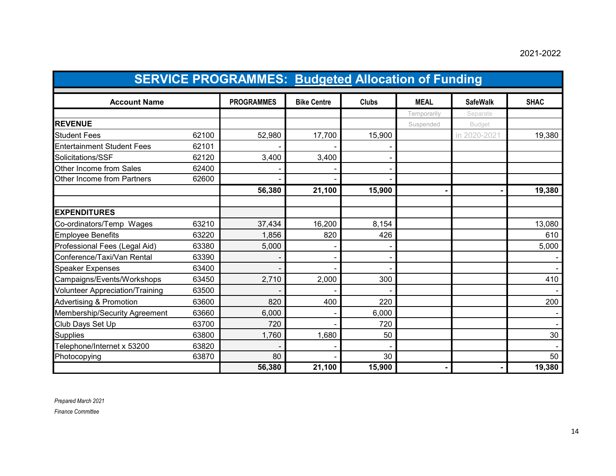### 2021-2022

|                                        | <b>SERVICE PROGRAMMES: Budgeted Allocation of Funding</b> |                   |                    |              |             |                 |             |
|----------------------------------------|-----------------------------------------------------------|-------------------|--------------------|--------------|-------------|-----------------|-------------|
| <b>Account Name</b>                    |                                                           | <b>PROGRAMMES</b> | <b>Bike Centre</b> | <b>Clubs</b> | <b>MEAL</b> | <b>SafeWalk</b> | <b>SHAC</b> |
|                                        |                                                           |                   |                    |              | Temporarily | Separate        |             |
| <b>REVENUE</b>                         |                                                           |                   |                    |              | Suspended   | <b>Budget</b>   |             |
| <b>Student Fees</b>                    | 62100                                                     | 52,980            | 17,700             | 15,900       |             | in 2020-2021    | 19,380      |
| <b>Entertainment Student Fees</b>      | 62101                                                     |                   |                    |              |             |                 |             |
| Solicitations/SSF                      | 62120                                                     | 3,400             | 3,400              |              |             |                 |             |
| Other Income from Sales                | 62400                                                     |                   |                    |              |             |                 |             |
| Other Income from Partners             | 62600                                                     |                   |                    |              |             |                 |             |
|                                        |                                                           | 56,380            | 21,100             | 15,900       |             |                 | 19,380      |
| <b>EXPENDITURES</b>                    |                                                           |                   |                    |              |             |                 |             |
| Co-ordinators/Temp Wages               | 63210                                                     | 37,434            | 16,200             | 8,154        |             |                 | 13,080      |
| <b>Employee Benefits</b>               | 63220                                                     | 1,856             | 820                | 426          |             |                 | 610         |
| Professional Fees (Legal Aid)          | 63380                                                     | 5,000             |                    |              |             |                 | 5,000       |
| Conference/Taxi/Van Rental             | 63390                                                     |                   |                    |              |             |                 |             |
| <b>Speaker Expenses</b>                | 63400                                                     |                   |                    |              |             |                 |             |
| Campaigns/Events/Workshops             | 63450                                                     | 2,710             | 2,000              | 300          |             |                 | 410         |
| <b>Volunteer Appreciation/Training</b> | 63500                                                     |                   |                    |              |             |                 |             |
| <b>Advertising &amp; Promotion</b>     | 63600                                                     | 820               | 400                | 220          |             |                 | 200         |
| Membership/Security Agreement          | 63660                                                     | 6,000             |                    | 6,000        |             |                 |             |
| Club Days Set Up                       | 63700                                                     | 720               |                    | 720          |             |                 |             |
| <b>Supplies</b>                        | 63800                                                     | 1,760             | 1,680              | 50           |             |                 | 30          |
| Telephone/Internet x 53200             | 63820                                                     |                   |                    |              |             |                 |             |
| Photocopying                           | 63870                                                     | 80                |                    | 30           |             |                 | 50          |
|                                        |                                                           | 56,380            | 21,100             | 15,900       |             |                 | 19,380      |

*Prepared March 2021*

*Finance Committee*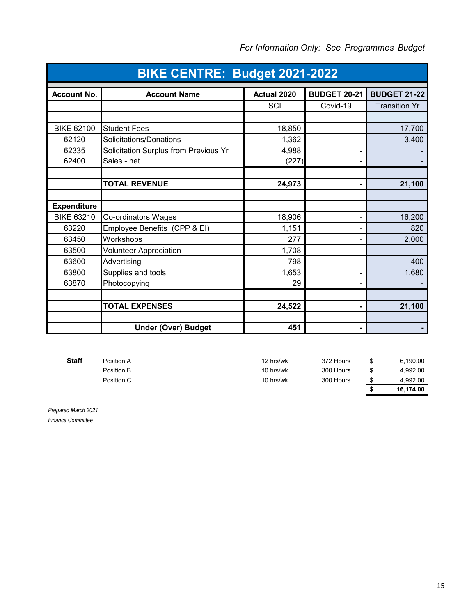| BIKE CENTRE: Budget 2021-2022 |                                       |             |                     |                      |  |
|-------------------------------|---------------------------------------|-------------|---------------------|----------------------|--|
| <b>Account No.</b>            | <b>Account Name</b>                   | Actual 2020 | <b>BUDGET 20-21</b> | <b>BUDGET 21-22</b>  |  |
|                               |                                       | SCI         | Covid-19            | <b>Transition Yr</b> |  |
|                               |                                       |             |                     |                      |  |
| <b>BIKE 62100</b>             | <b>Student Fees</b>                   | 18,850      |                     | 17,700               |  |
| 62120                         | Solicitations/Donations               | 1,362       |                     | 3,400                |  |
| 62335                         | Solicitation Surplus from Previous Yr | 4,988       |                     |                      |  |
| 62400                         | Sales - net                           | (227)       |                     |                      |  |
|                               | <b>TOTAL REVENUE</b>                  | 24,973      | ۰                   | 21,100               |  |
|                               |                                       |             |                     |                      |  |
| <b>Expenditure</b>            |                                       |             |                     |                      |  |
| <b>BIKE 63210</b>             | Co-ordinators Wages                   | 18,906      |                     | 16,200               |  |
| 63220                         | Employee Benefits (CPP & EI)          | 1,151       |                     | 820                  |  |
| 63450                         | Workshops                             | 277         |                     | 2,000                |  |
| 63500                         | <b>Volunteer Appreciation</b>         | 1,708       |                     |                      |  |
| 63600                         | Advertising                           | 798         |                     | 400                  |  |
| 63800                         | Supplies and tools                    | 1,653       |                     | 1,680                |  |
| 63870                         | Photocopying                          | 29          |                     |                      |  |
|                               |                                       |             |                     |                      |  |
|                               | <b>TOTAL EXPENSES</b>                 | 24,522      |                     | 21,100               |  |
|                               | <b>Under (Over) Budget</b>            | 451         |                     |                      |  |

| <b>Staff</b> | Position A               | 12 hrs/wk              | 372 Hours              | 6.190.00             |
|--------------|--------------------------|------------------------|------------------------|----------------------|
|              | Position B<br>Position C | 10 hrs/wk<br>10 hrs/wk | 300 Hours<br>300 Hours | 4.992.00<br>4.992.00 |
|              |                          |                        |                        | 16.174.00            |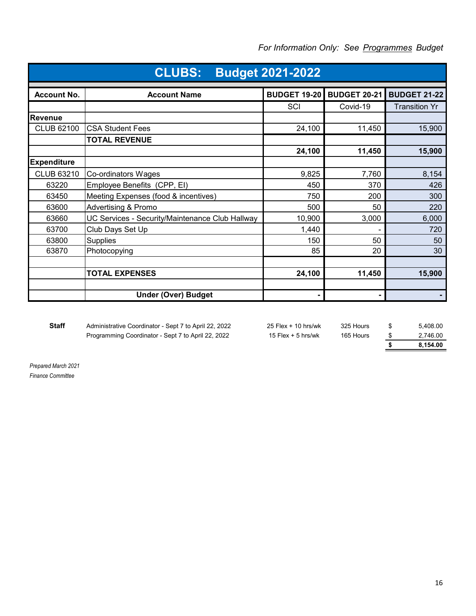| <b>CLUBS:</b><br><b>Budget 2021-2022</b> |                                                 |                     |                     |                      |  |  |
|------------------------------------------|-------------------------------------------------|---------------------|---------------------|----------------------|--|--|
| <b>Account No.</b>                       | <b>Account Name</b>                             | <b>BUDGET 19-20</b> | <b>BUDGET 20-21</b> | <b>BUDGET 21-22</b>  |  |  |
|                                          |                                                 | SCI                 | Covid-19            | <b>Transition Yr</b> |  |  |
| <b>Revenue</b>                           |                                                 |                     |                     |                      |  |  |
| <b>CLUB 62100</b>                        | <b>CSA Student Fees</b>                         | 24,100              | 11,450              | 15,900               |  |  |
|                                          | <b>TOTAL REVENUE</b>                            |                     |                     |                      |  |  |
|                                          |                                                 | 24,100              | 11,450              | 15,900               |  |  |
| <b>Expenditure</b>                       |                                                 |                     |                     |                      |  |  |
| <b>CLUB 63210</b>                        | Co-ordinators Wages                             | 9,825               | 7,760               | 8,154                |  |  |
| 63220                                    | Employee Benefits (CPP, EI)                     | 450                 | 370                 | 426                  |  |  |
| 63450                                    | Meeting Expenses (food & incentives)            | 750                 | 200                 | 300                  |  |  |
| 63600                                    | <b>Advertising &amp; Promo</b>                  | 500                 | 50                  | 220                  |  |  |
| 63660                                    | UC Services - Security/Maintenance Club Hallway | 10,900              | 3,000               | 6,000                |  |  |
| 63700                                    | Club Days Set Up                                | 1,440               |                     | 720                  |  |  |
| 63800                                    | <b>Supplies</b>                                 | 150                 | 50                  | 50                   |  |  |
| 63870                                    | Photocopying                                    | 85                  | 20                  | 30                   |  |  |
|                                          |                                                 |                     |                     |                      |  |  |
|                                          | <b>TOTAL EXPENSES</b>                           | 24,100              | 11,450              | 15,900               |  |  |
|                                          |                                                 |                     |                     |                      |  |  |
|                                          | <b>Under (Over) Budget</b>                      | ٠                   |                     |                      |  |  |

Staff Administrative Coordinator - Sept 7 to April 22, 2022 25 Flex + 10 hrs/wk 325 Hours \$ 5,408.00 Programming Coordinator - Sept 7 to April 22, 2022 15 Flex + 5 hrs/wk 165 Hours  $\frac{\$}{\$}$  2,746.00<br>8,154.00 **\$ 8,154.00**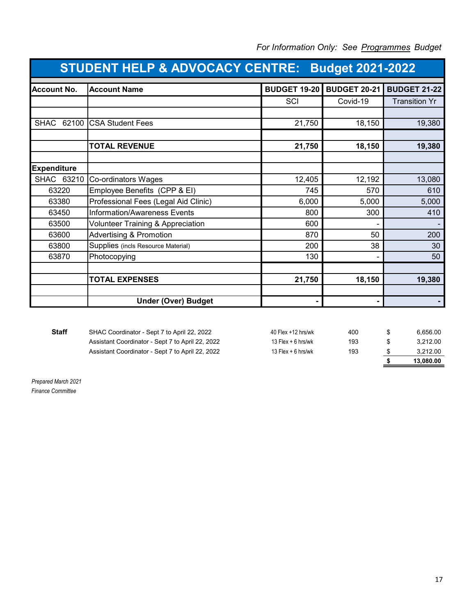| <b>STUDENT HELP &amp; ADVOCACY CENTRE: Budget 2021-2022</b> |                                      |                     |                     |                      |  |
|-------------------------------------------------------------|--------------------------------------|---------------------|---------------------|----------------------|--|
| <b>Account No.</b>                                          | <b>Account Name</b>                  | <b>BUDGET 19-20</b> | <b>BUDGET 20-21</b> | <b>BUDGET 21-22</b>  |  |
|                                                             |                                      | SCI                 | Covid-19            | <b>Transition Yr</b> |  |
|                                                             |                                      |                     |                     |                      |  |
| <b>SHAC</b><br>62100                                        | <b>CSA Student Fees</b>              | 21,750              | 18,150              | 19,380               |  |
|                                                             |                                      |                     |                     |                      |  |
|                                                             | <b>TOTAL REVENUE</b>                 | 21,750              | 18,150              | 19,380               |  |
|                                                             |                                      |                     |                     |                      |  |
| <b>Expenditure</b>                                          |                                      |                     |                     |                      |  |
| SHAC 63210                                                  | Co-ordinators Wages                  | 12,405              | 12,192              | 13,080               |  |
| 63220                                                       | Employee Benefits (CPP & EI)         | 745                 | 570                 | 610                  |  |
| 63380                                                       | Professional Fees (Legal Aid Clinic) | 6,000               | 5,000               | 5,000                |  |
| 63450                                                       | <b>Information/Awareness Events</b>  | 800                 | 300                 | 410                  |  |
| 63500                                                       | Volunteer Training & Appreciation    | 600                 |                     |                      |  |
| 63600                                                       | <b>Advertising &amp; Promotion</b>   | 870                 | 50                  | 200                  |  |
| 63800                                                       | Supplies (incls Resource Material)   | 200                 | 38                  | 30                   |  |
| 63870                                                       | Photocopying                         | 130                 |                     | 50                   |  |
|                                                             |                                      |                     |                     |                      |  |
|                                                             | <b>TOTAL EXPENSES</b>                | 21,750              | 18,150              | 19,380               |  |
|                                                             |                                      |                     |                     |                      |  |
|                                                             | <b>Under (Over) Budget</b>           |                     |                     |                      |  |

### *For Information Only: See Programmes Budget*

|                                                  |                      |     | 13.080.00 |
|--------------------------------------------------|----------------------|-----|-----------|
| Assistant Coordinator - Sept 7 to April 22, 2022 | 13 Flex $+$ 6 hrs/wk | 193 | 3.212.00  |
| Assistant Coordinator - Sept 7 to April 22, 2022 | 13 Flex $+$ 6 hrs/wk | 193 | 3.212.00  |
| SHAC Coordinator - Sept 7 to April 22, 2022      | 40 Flex +12 hrs/wk   | 400 | 6.656.00  |
|                                                  |                      |     |           |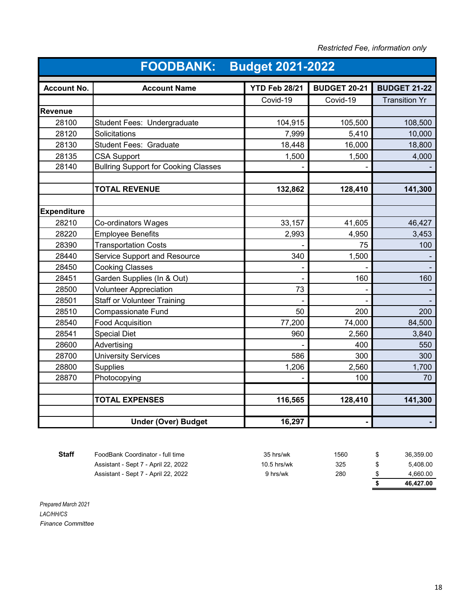| Restricted Fee, information only |  |  |
|----------------------------------|--|--|
|----------------------------------|--|--|

| <b>FOODBANK:</b><br><b>Budget 2021-2022</b> |                                                 |                      |                     |                      |  |
|---------------------------------------------|-------------------------------------------------|----------------------|---------------------|----------------------|--|
| <b>Account No.</b>                          | <b>Account Name</b>                             | <b>YTD Feb 28/21</b> | <b>BUDGET 20-21</b> | <b>BUDGET 21-22</b>  |  |
|                                             |                                                 | Covid-19             | Covid-19            | <b>Transition Yr</b> |  |
| <b>Revenue</b>                              |                                                 |                      |                     |                      |  |
| 28100                                       | Student Fees: Undergraduate                     | 104,915              | 105,500             | 108,500              |  |
| 28120                                       | Solicitations                                   | 7,999                | 5,410               | 10,000               |  |
| 28130                                       | <b>Student Fees: Graduate</b>                   | 18,448               | 16,000              | 18,800               |  |
| 28135                                       | <b>CSA Support</b>                              | 1,500                | 1,500               | 4,000                |  |
| 28140                                       | <b>Bullring Support for Cooking Classes</b>     |                      |                     |                      |  |
|                                             | <b>TOTAL REVENUE</b>                            | 132,862              | 128,410             | 141,300              |  |
| <b>Expenditure</b>                          |                                                 |                      |                     |                      |  |
| 28210                                       |                                                 | 33,157               | 41,605              | 46,427               |  |
| 28220                                       | Co-ordinators Wages<br><b>Employee Benefits</b> | 2,993                |                     | 3,453                |  |
| 28390                                       | <b>Transportation Costs</b>                     |                      | 4,950<br>75         | 100                  |  |
| 28440                                       | Service Support and Resource                    | 340                  | 1,500               |                      |  |
| 28450                                       | <b>Cooking Classes</b>                          |                      |                     |                      |  |
| 28451                                       | Garden Supplies (In & Out)                      |                      | 160                 | 160                  |  |
| 28500                                       | <b>Volunteer Appreciation</b>                   | 73                   |                     |                      |  |
| 28501                                       | <b>Staff or Volunteer Training</b>              |                      |                     |                      |  |
| 28510                                       | Compassionate Fund                              | 50                   | 200                 | 200                  |  |
| 28540                                       | <b>Food Acquisition</b>                         | 77,200               | 74,000              | 84,500               |  |
| 28541                                       | <b>Special Diet</b>                             | 960                  | 2,560               | 3,840                |  |
| 28600                                       | Advertising                                     |                      | 400                 | 550                  |  |
| 28700                                       | <b>University Services</b>                      | 586                  | 300                 | 300                  |  |
| 28800                                       | <b>Supplies</b>                                 | 1,206                | 2,560               | 1,700                |  |
| 28870                                       | Photocopying                                    |                      | 100                 | 70                   |  |
|                                             |                                                 |                      |                     |                      |  |
|                                             | <b>TOTAL EXPENSES</b>                           | 116,565              | 128,410             | 141,300              |  |
|                                             |                                                 |                      |                     |                      |  |
|                                             | <b>Under (Over) Budget</b>                      | 16,297               |                     |                      |  |

**Staff** FoodBank Coordinator - full time 35 hrs/wk 1560 \$ 36,359.00 Assistant - Sept 7 - April 22, 2022 10.5 hrs/wk 325 \$ 5,408.00 Assistant - Sept 7 - April 22, 2022 9 hrs/wk 280  $\frac{\$}{\$}$  4,660.00 **\$ 46,427.00**

*Prepared March 2021 LAC/HH/CS Finance Committee*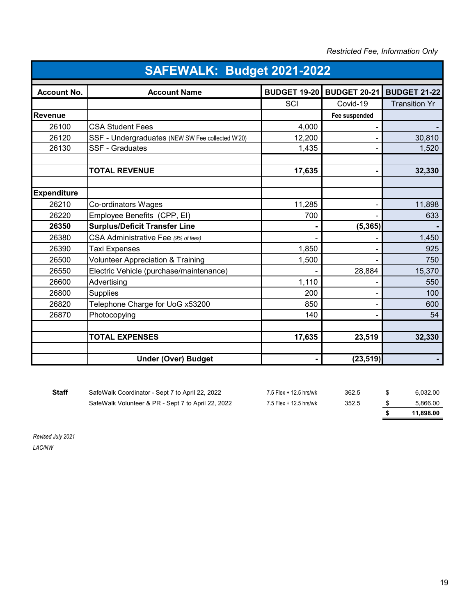*Restricted Fee, Information Only*

| SAFEWALK: Budget 2021-2022 |                                                  |                     |                     |                      |  |
|----------------------------|--------------------------------------------------|---------------------|---------------------|----------------------|--|
| <b>Account No.</b>         | <b>Account Name</b>                              | <b>BUDGET 19-20</b> | <b>BUDGET 20-21</b> | <b>BUDGET 21-22</b>  |  |
|                            |                                                  | SCI                 | Covid-19            | <b>Transition Yr</b> |  |
| Revenue                    |                                                  |                     | Fee suspended       |                      |  |
| 26100                      | <b>CSA Student Fees</b>                          | 4,000               |                     |                      |  |
| 26120                      | SSF - Undergraduates (NEW SW Fee collected W'20) | 12,200              |                     | 30,810               |  |
| 26130                      | <b>SSF - Graduates</b>                           | 1,435               |                     | 1,520                |  |
|                            | <b>TOTAL REVENUE</b>                             | 17,635              |                     | 32,330               |  |
| <b>Expenditure</b>         |                                                  |                     |                     |                      |  |
| 26210                      | Co-ordinators Wages                              | 11,285              |                     | 11,898               |  |
| 26220                      | Employee Benefits (CPP, EI)                      | 700                 |                     | 633                  |  |
| 26350                      | <b>Surplus/Deficit Transfer Line</b>             |                     | (5, 365)            |                      |  |
| 26380                      | CSA Administrative Fee (9% of fees)              |                     |                     | 1,450                |  |
| 26390                      | Taxi Expenses                                    | 1,850               |                     | 925                  |  |
| 26500                      | <b>Volunteer Appreciation &amp; Training</b>     | 1,500               |                     | 750                  |  |
| 26550                      | Electric Vehicle (purchase/maintenance)          |                     | 28,884              | 15,370               |  |
| 26600                      | Advertising                                      | 1,110               |                     | 550                  |  |
| 26800                      | <b>Supplies</b>                                  | 200                 |                     | 100                  |  |
| 26820                      | Telephone Charge for UoG x53200                  | 850                 |                     | 600                  |  |
| 26870                      | Photocopying                                     | 140                 |                     | 54                   |  |
|                            | <b>TOTAL EXPENSES</b>                            | 17,635              | 23,519              | 32,330               |  |
|                            | <b>Under (Over) Budget</b>                       |                     | (23, 519)           |                      |  |

| <b>Staff</b> | SafeWalk Coordinator - Sept 7 to April 22, 2022    | 7.5 Flex + 12.5 hrs/wk | 362.5 | 6.032.00  |
|--------------|----------------------------------------------------|------------------------|-------|-----------|
|              | SafeWalk Volunteer & PR - Sept 7 to April 22, 2022 | 7.5 Flex + 12.5 hrs/wk | 352.5 | 5.866.00  |
|              |                                                    |                        |       | 11.898.00 |

*Revised July 2021 LAC/NW*